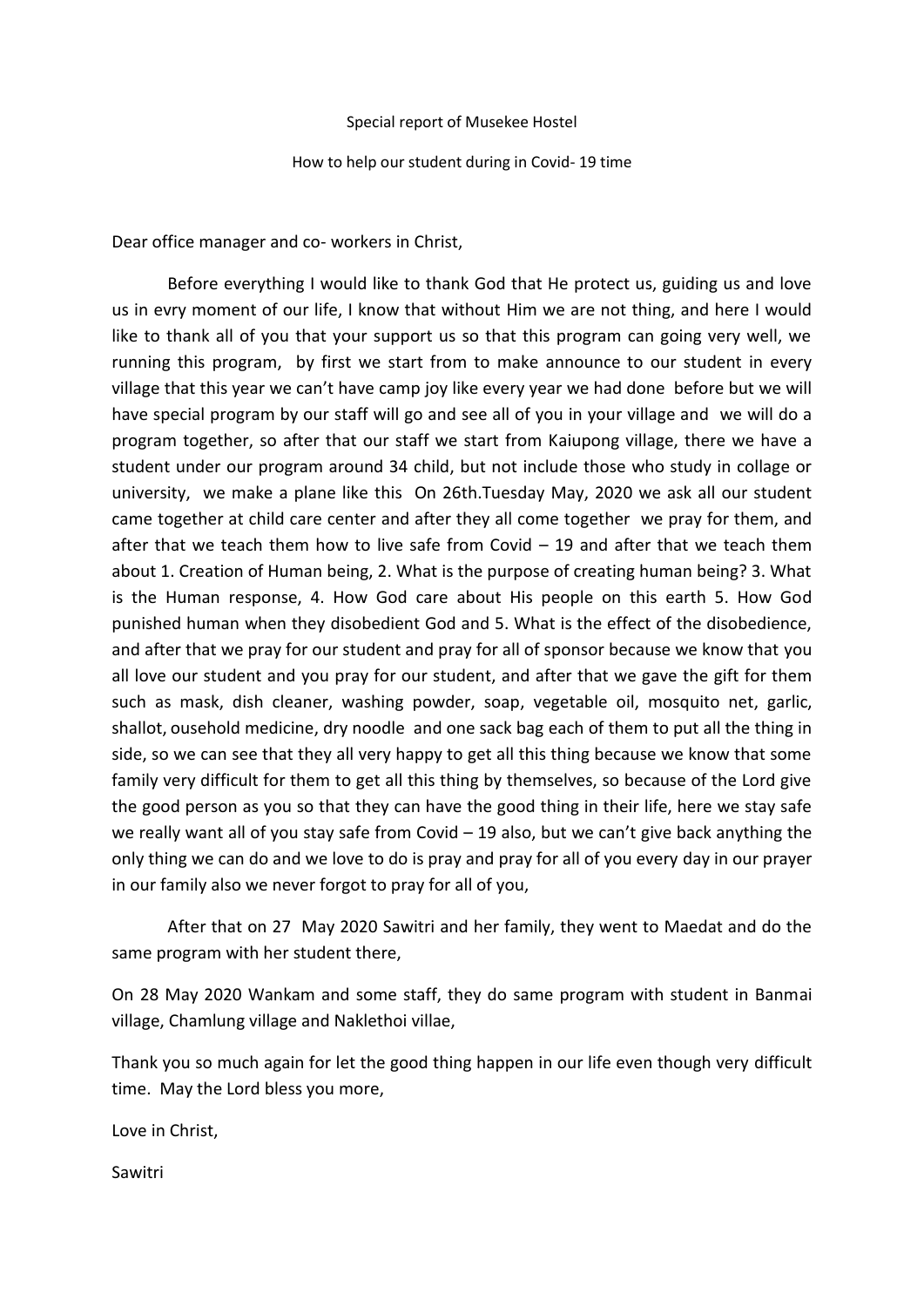## Special report of Musekee Hostel

How to help our student during in Covid- 19 time

Dear office manager and co- workers in Christ,

Before everything I would like to thank God that He protect us, guiding us and love us in evry moment of our life, I know that without Him we are not thing, and here I would like to thank all of you that your support us so that this program can going very well, we running this program, by first we start from to make announce to our student in every village that this year we can't have camp joy like every year we had done before but we will have special program by our staff will go and see all of you in your village and we will do a program together, so after that our staff we start from Kaiupong village, there we have a student under our program around 34 child, but not include those who study in collage or university, we make a plane like this On 26th.Tuesday May, 2020 we ask all our student came together at child care center and after they all come together we pray for them, and after that we teach them how to live safe from Covid  $-$  19 and after that we teach them about 1. Creation of Human being, 2. What is the purpose of creating human being? 3. What is the Human response, 4. How God care about His people on this earth 5. How God punished human when they disobedient God and 5. What is the effect of the disobedience, and after that we pray for our student and pray for all of sponsor because we know that you all love our student and you pray for our student, and after that we gave the gift for them such as mask, dish cleaner, washing powder, soap, vegetable oil, mosquito net, garlic, shallot, ousehold medicine, dry noodle and one sack bag each of them to put all the thing in side, so we can see that they all very happy to get all this thing because we know that some family very difficult for them to get all this thing by themselves, so because of the Lord give the good person as you so that they can have the good thing in their life, here we stay safe we really want all of you stay safe from Covid  $-19$  also, but we can't give back anything the only thing we can do and we love to do is pray and pray for all of you every day in our prayer in our family also we never forgot to pray for all of you,

After that on 27 May 2020 Sawitri and her family, they went to Maedat and do the same program with her student there,

On 28 May 2020 Wankam and some staff, they do same program with student in Banmai village, Chamlung village and Naklethoi villae,

Thank you so much again for let the good thing happen in our life even though very difficult time. May the Lord bless you more,

Love in Christ,

Sawitri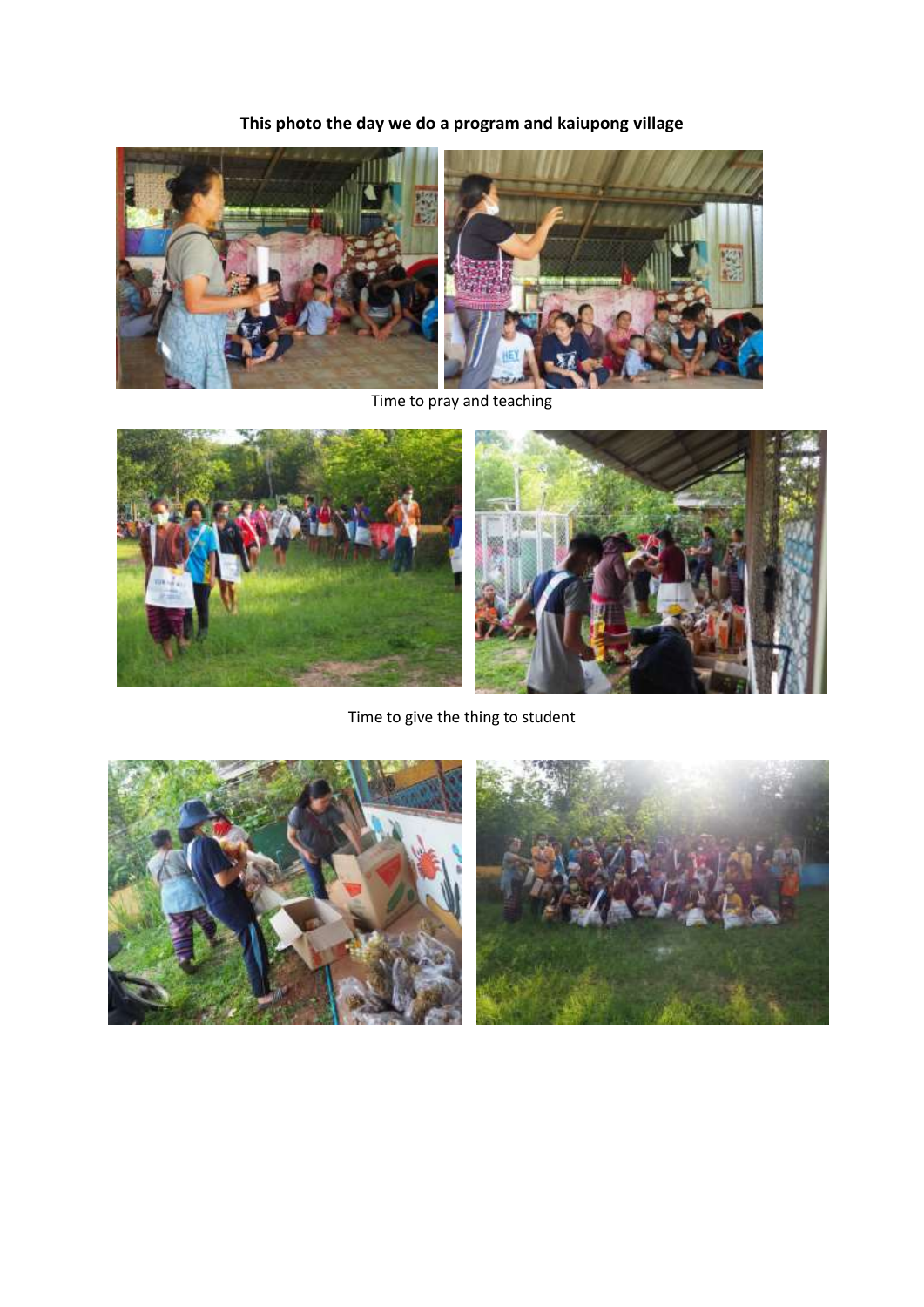**This photo the day we do a program and kaiupong village**



Time to pray and teaching



Time to give the thing to student



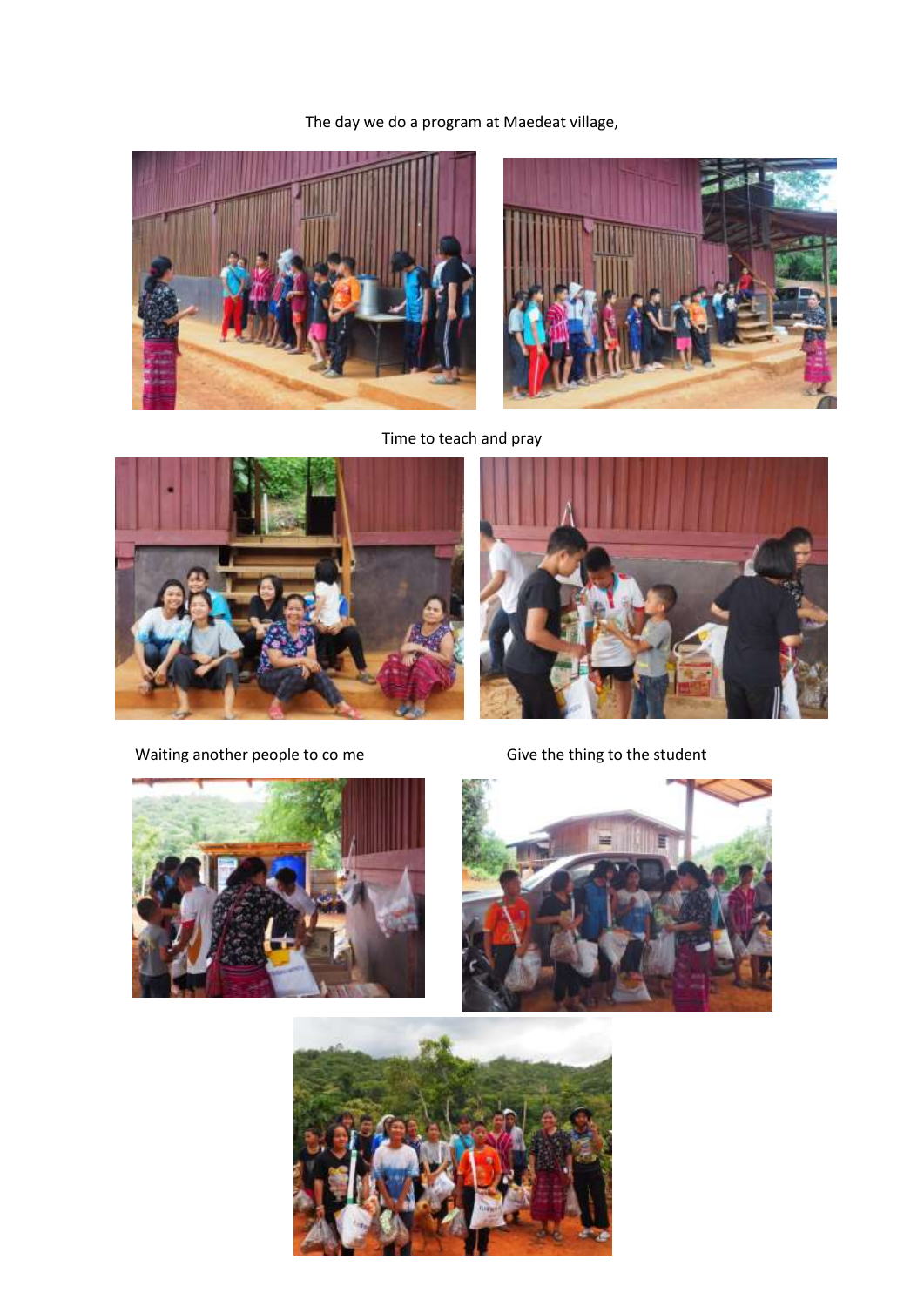The day we do a program at Maedeat village,





Time to teach and pray



Waiting another people to co me Give the thing to the student







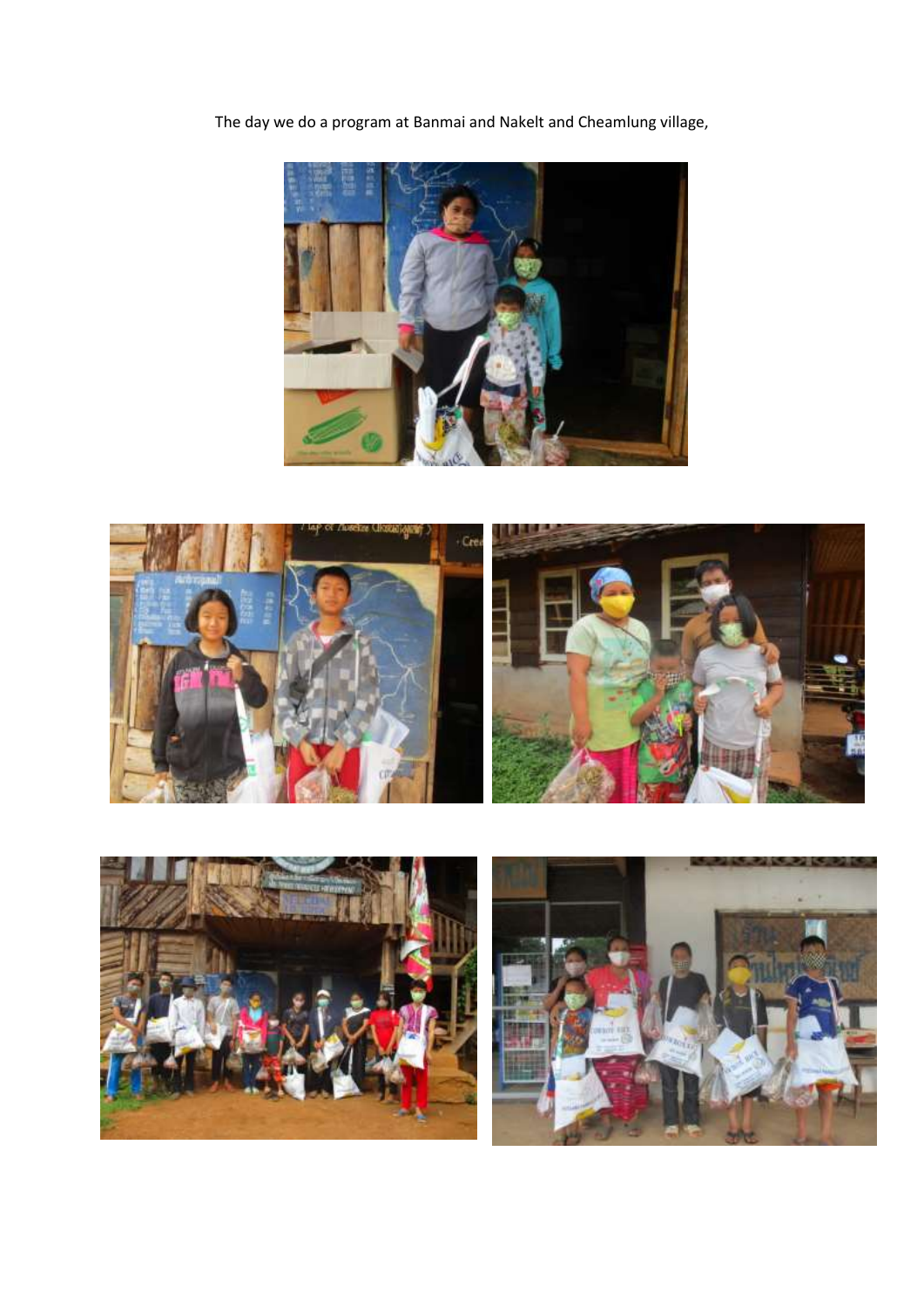The day we do a program at Banmai and Nakelt and Cheamlung village,